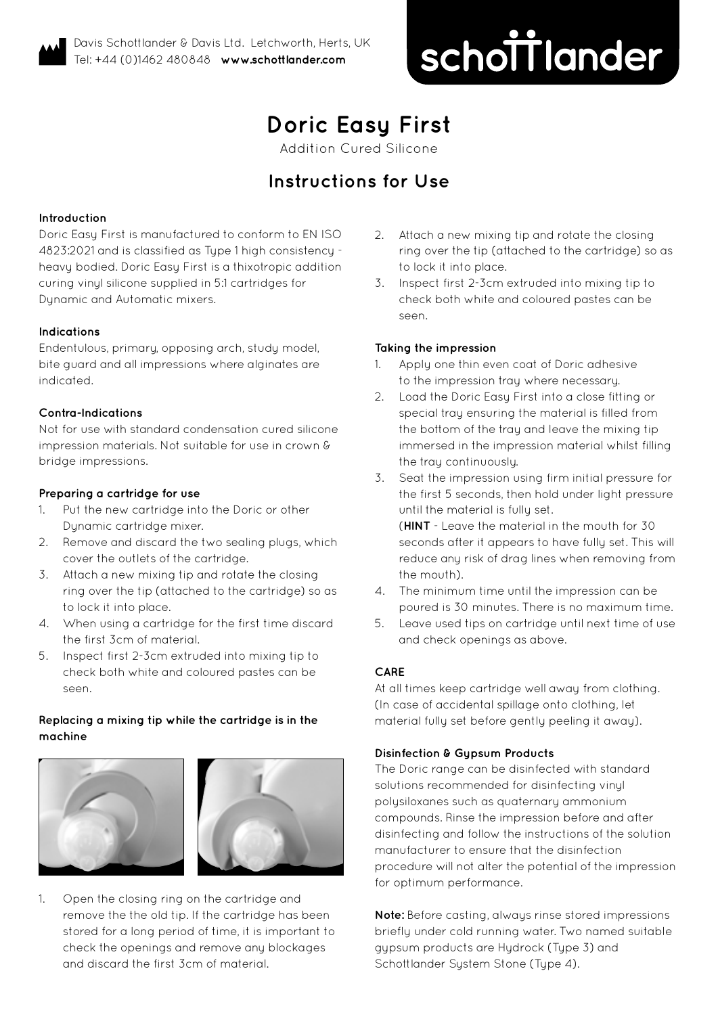# schottlander **improving dentistry together**

## **Doric Easy First**

Addition Cured Silicone

### **Instructions for Use**

#### **Introduction**

Doric Easy First is manufactured to conform to EN ISO 4823:2021 and is classified as Type 1 high consistency heavy bodied. Doric Easy First is a thixotropic addition curing vinyl silicone supplied in 5:1 cartridges for Dynamic and Automatic mixers.

#### **Indications**

Endentulous, primary, opposing arch, study model, bite guard and all impressions where alginates are indicated.

#### **Contra-Indications**

Not for use with standard condensation cured silicone impression materials. Not suitable for use in crown & bridge impressions.

#### **Preparing a cartridge for use**

- 1. Put the new cartridge into the Doric or other Dynamic cartridge mixer.
- 2. Remove and discard the two sealing plugs, which cover the outlets of the cartridge.
- 3. Attach a new mixing tip and rotate the closing ring over the tip (attached to the cartridge) so as to lock it into place.
- 4. When using a cartridge for the first time discard the first 3cm of material.
- 5. Inspect first 2-3cm extruded into mixing tip to check both white and coloured pastes can be seen.

#### **Replacing a mixing tip while the cartridge is in the machine**





1. Open the closing ring on the cartridge and remove the the old tip. If the cartridge has been stored for a long period of time, it is important to check the openings and remove any blockages and discard the first 3cm of material.

- 2. Attach a new mixing tip and rotate the closing ring over the tip (attached to the cartridge) so as to lock it into place.
- 3. Inspect first 2-3cm extruded into mixing tip to check both white and coloured pastes can be seen.

#### **Taking the impression**

- 1. Apply one thin even coat of Doric adhesive to the impression tray where necessary.
- 2. Load the Doric Easy First into a close fitting or special tray ensuring the material is filled from the bottom of the tray and leave the mixing tip immersed in the impression material whilst filling the tray continuously.
- 3. Seat the impression using firm initial pressure for the first 5 seconds, then hold under light pressure until the material is fully set.

(**HINT** - Leave the material in the mouth for 30 seconds after it appears to have fully set. This will reduce any risk of drag lines when removing from the mouth).

- 4. The minimum time until the impression can be poured is 30 minutes. There is no maximum time.
- 5. Leave used tips on cartridge until next time of use and check openings as above.

#### **CARE**

At all times keep cartridge well away from clothing. (In case of accidental spillage onto clothing, let material fully set before gently peeling it away).

#### **Disinfection & Gypsum Products**

The Doric range can be disinfected with standard solutions recommended for disinfecting vinyl polysiloxanes such as quaternary ammonium compounds. Rinse the impression before and after disinfecting and follow the instructions of the solution manufacturer to ensure that the disinfection procedure will not alter the potential of the impression for optimum performance.

**Note:** Before casting, always rinse stored impressions briefly under cold running water. Two named suitable gupsum products are Hudrock (Tupe 3) and Schottlander System Stone (Type 4).